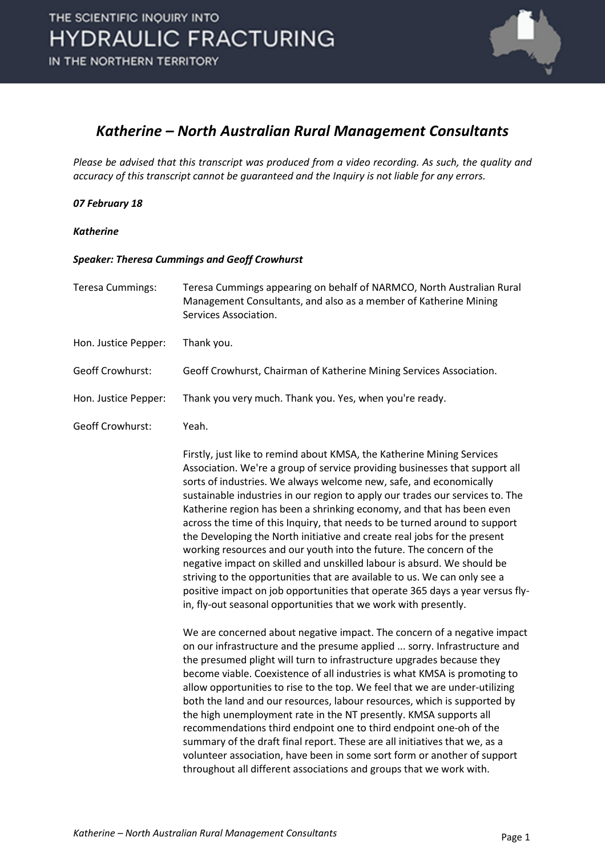

#### *Katherine – North Australian Rural Management Consultants*

*Please be advised that this transcript was produced from a video recording. As such, the quality and accuracy of this transcript cannot be guaranteed and the Inquiry is not liable for any errors.*

#### *07 February 18*

#### *Katherine*

#### *Speaker: Theresa Cummings and Geoff Crowhurst*

| <b>Teresa Cummings:</b> | Teresa Cummings appearing on behalf of NARMCO, North Australian Rural<br>Management Consultants, and also as a member of Katherine Mining<br>Services Association.                                                                                                                                                                                                                                                                                                                                                                                                                                                                                                                                                                                                                                                                                                                                                                 |
|-------------------------|------------------------------------------------------------------------------------------------------------------------------------------------------------------------------------------------------------------------------------------------------------------------------------------------------------------------------------------------------------------------------------------------------------------------------------------------------------------------------------------------------------------------------------------------------------------------------------------------------------------------------------------------------------------------------------------------------------------------------------------------------------------------------------------------------------------------------------------------------------------------------------------------------------------------------------|
| Hon. Justice Pepper:    | Thank you.                                                                                                                                                                                                                                                                                                                                                                                                                                                                                                                                                                                                                                                                                                                                                                                                                                                                                                                         |
| Geoff Crowhurst:        | Geoff Crowhurst, Chairman of Katherine Mining Services Association.                                                                                                                                                                                                                                                                                                                                                                                                                                                                                                                                                                                                                                                                                                                                                                                                                                                                |
| Hon. Justice Pepper:    | Thank you very much. Thank you. Yes, when you're ready.                                                                                                                                                                                                                                                                                                                                                                                                                                                                                                                                                                                                                                                                                                                                                                                                                                                                            |
| <b>Geoff Crowhurst:</b> | Yeah.                                                                                                                                                                                                                                                                                                                                                                                                                                                                                                                                                                                                                                                                                                                                                                                                                                                                                                                              |
|                         | Firstly, just like to remind about KMSA, the Katherine Mining Services<br>Association. We're a group of service providing businesses that support all<br>sorts of industries. We always welcome new, safe, and economically<br>sustainable industries in our region to apply our trades our services to. The<br>Katherine region has been a shrinking economy, and that has been even<br>across the time of this Inquiry, that needs to be turned around to support<br>the Developing the North initiative and create real jobs for the present<br>working resources and our youth into the future. The concern of the<br>negative impact on skilled and unskilled labour is absurd. We should be<br>striving to the opportunities that are available to us. We can only see a<br>positive impact on job opportunities that operate 365 days a year versus fly-<br>in, fly-out seasonal opportunities that we work with presently. |
|                         | We are concerned about negative impact. The concern of a negative impact<br>on our infrastructure and the presume applied  sorry. Infrastructure and<br>the presumed plight will turn to infrastructure upgrades because they<br>become viable. Coexistence of all industries is what KMSA is promoting to<br>allow opportunities to rise to the top. We feel that we are under-utilizing<br>both the land and our resources, labour resources, which is supported by<br>the high unemployment rate in the NT presently. KMSA supports all<br>recommendations third endpoint one to third endpoint one-oh of the<br>summary of the draft final report. These are all initiatives that we, as a<br>volunteer association, have been in some sort form or another of support<br>throughout all different associations and groups that we work with.                                                                                  |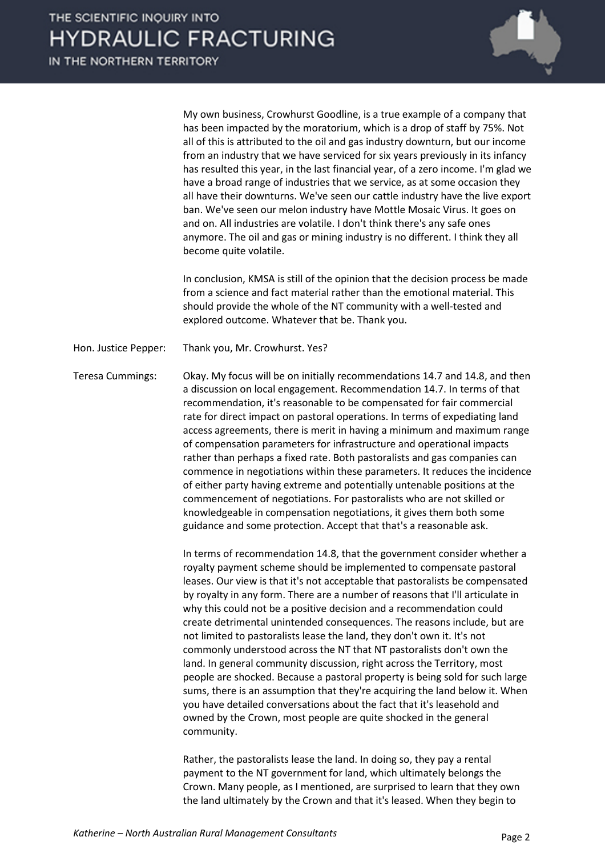IN THE NORTHERN TERRITORY



My own business, Crowhurst Goodline, is a true example of a company that has been impacted by the moratorium, which is a drop of staff by 75%. Not all of this is attributed to the oil and gas industry downturn, but our income from an industry that we have serviced for six years previously in its infancy has resulted this year, in the last financial year, of a zero income. I'm glad we have a broad range of industries that we service, as at some occasion they all have their downturns. We've seen our cattle industry have the live export ban. We've seen our melon industry have Mottle Mosaic Virus. It goes on and on. All industries are volatile. I don't think there's any safe ones anymore. The oil and gas or mining industry is no different. I think they all become quite volatile.

In conclusion, KMSA is still of the opinion that the decision process be made from a science and fact material rather than the emotional material. This should provide the whole of the NT community with a well-tested and explored outcome. Whatever that be. Thank you.

Hon. Justice Pepper: Thank you, Mr. Crowhurst. Yes?

Teresa Cummings: Okay. My focus will be on initially recommendations 14.7 and 14.8, and then a discussion on local engagement. Recommendation 14.7. In terms of that recommendation, it's reasonable to be compensated for fair commercial rate for direct impact on pastoral operations. In terms of expediating land access agreements, there is merit in having a minimum and maximum range of compensation parameters for infrastructure and operational impacts rather than perhaps a fixed rate. Both pastoralists and gas companies can commence in negotiations within these parameters. It reduces the incidence of either party having extreme and potentially untenable positions at the commencement of negotiations. For pastoralists who are not skilled or knowledgeable in compensation negotiations, it gives them both some guidance and some protection. Accept that that's a reasonable ask.

> In terms of recommendation 14.8, that the government consider whether a royalty payment scheme should be implemented to compensate pastoral leases. Our view is that it's not acceptable that pastoralists be compensated by royalty in any form. There are a number of reasons that I'll articulate in why this could not be a positive decision and a recommendation could create detrimental unintended consequences. The reasons include, but are not limited to pastoralists lease the land, they don't own it. It's not commonly understood across the NT that NT pastoralists don't own the land. In general community discussion, right across the Territory, most people are shocked. Because a pastoral property is being sold for such large sums, there is an assumption that they're acquiring the land below it. When you have detailed conversations about the fact that it's leasehold and owned by the Crown, most people are quite shocked in the general community.

Rather, the pastoralists lease the land. In doing so, they pay a rental payment to the NT government for land, which ultimately belongs the Crown. Many people, as I mentioned, are surprised to learn that they own the land ultimately by the Crown and that it's leased. When they begin to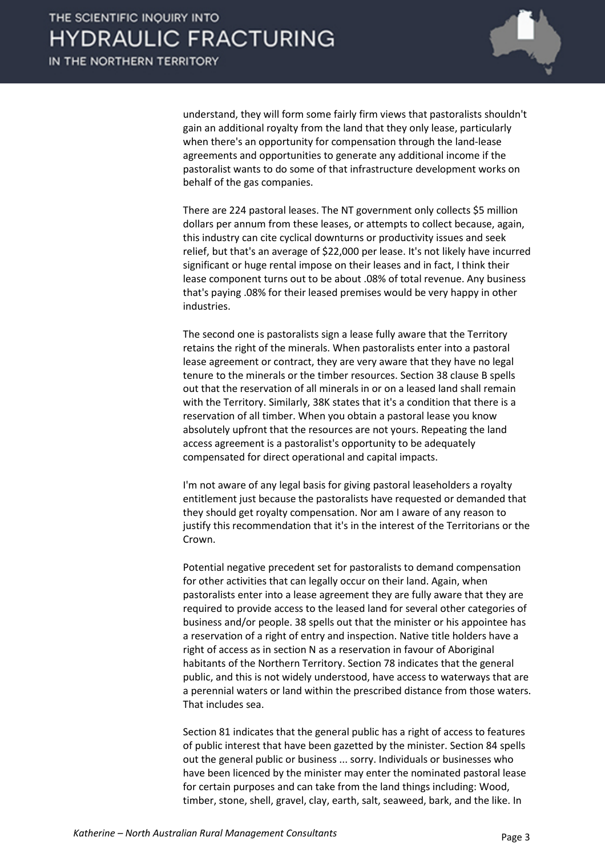

understand, they will form some fairly firm views that pastoralists shouldn't gain an additional royalty from the land that they only lease, particularly when there's an opportunity for compensation through the land-lease agreements and opportunities to generate any additional income if the pastoralist wants to do some of that infrastructure development works on behalf of the gas companies.

There are 224 pastoral leases. The NT government only collects \$5 million dollars per annum from these leases, or attempts to collect because, again, this industry can cite cyclical downturns or productivity issues and seek relief, but that's an average of \$22,000 per lease. It's not likely have incurred significant or huge rental impose on their leases and in fact, I think their lease component turns out to be about .08% of total revenue. Any business that's paying .08% for their leased premises would be very happy in other industries.

The second one is pastoralists sign a lease fully aware that the Territory retains the right of the minerals. When pastoralists enter into a pastoral lease agreement or contract, they are very aware that they have no legal tenure to the minerals or the timber resources. Section 38 clause B spells out that the reservation of all minerals in or on a leased land shall remain with the Territory. Similarly, 38K states that it's a condition that there is a reservation of all timber. When you obtain a pastoral lease you know absolutely upfront that the resources are not yours. Repeating the land access agreement is a pastoralist's opportunity to be adequately compensated for direct operational and capital impacts.

I'm not aware of any legal basis for giving pastoral leaseholders a royalty entitlement just because the pastoralists have requested or demanded that they should get royalty compensation. Nor am I aware of any reason to justify this recommendation that it's in the interest of the Territorians or the Crown.

Potential negative precedent set for pastoralists to demand compensation for other activities that can legally occur on their land. Again, when pastoralists enter into a lease agreement they are fully aware that they are required to provide access to the leased land for several other categories of business and/or people. 38 spells out that the minister or his appointee has a reservation of a right of entry and inspection. Native title holders have a right of access as in section N as a reservation in favour of Aboriginal habitants of the Northern Territory. Section 78 indicates that the general public, and this is not widely understood, have access to waterways that are a perennial waters or land within the prescribed distance from those waters. That includes sea.

Section 81 indicates that the general public has a right of access to features of public interest that have been gazetted by the minister. Section 84 spells out the general public or business ... sorry. Individuals or businesses who have been licenced by the minister may enter the nominated pastoral lease for certain purposes and can take from the land things including: Wood, timber, stone, shell, gravel, clay, earth, salt, seaweed, bark, and the like. In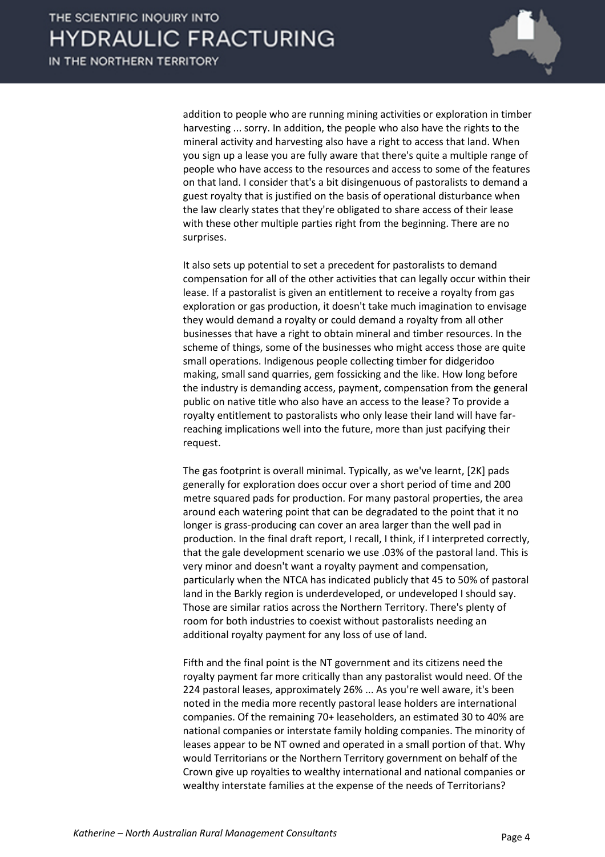

addition to people who are running mining activities or exploration in timber harvesting ... sorry. In addition, the people who also have the rights to the mineral activity and harvesting also have a right to access that land. When you sign up a lease you are fully aware that there's quite a multiple range of people who have access to the resources and access to some of the features on that land. I consider that's a bit disingenuous of pastoralists to demand a guest royalty that is justified on the basis of operational disturbance when the law clearly states that they're obligated to share access of their lease with these other multiple parties right from the beginning. There are no surprises.

It also sets up potential to set a precedent for pastoralists to demand compensation for all of the other activities that can legally occur within their lease. If a pastoralist is given an entitlement to receive a royalty from gas exploration or gas production, it doesn't take much imagination to envisage they would demand a royalty or could demand a royalty from all other businesses that have a right to obtain mineral and timber resources. In the scheme of things, some of the businesses who might access those are quite small operations. Indigenous people collecting timber for didgeridoo making, small sand quarries, gem fossicking and the like. How long before the industry is demanding access, payment, compensation from the general public on native title who also have an access to the lease? To provide a royalty entitlement to pastoralists who only lease their land will have farreaching implications well into the future, more than just pacifying their request.

The gas footprint is overall minimal. Typically, as we've learnt, [2K] pads generally for exploration does occur over a short period of time and 200 metre squared pads for production. For many pastoral properties, the area around each watering point that can be degradated to the point that it no longer is grass-producing can cover an area larger than the well pad in production. In the final draft report, I recall, I think, if I interpreted correctly, that the gale development scenario we use .03% of the pastoral land. This is very minor and doesn't want a royalty payment and compensation, particularly when the NTCA has indicated publicly that 45 to 50% of pastoral land in the Barkly region is underdeveloped, or undeveloped I should say. Those are similar ratios across the Northern Territory. There's plenty of room for both industries to coexist without pastoralists needing an additional royalty payment for any loss of use of land.

Fifth and the final point is the NT government and its citizens need the royalty payment far more critically than any pastoralist would need. Of the 224 pastoral leases, approximately 26% ... As you're well aware, it's been noted in the media more recently pastoral lease holders are international companies. Of the remaining 70+ leaseholders, an estimated 30 to 40% are national companies or interstate family holding companies. The minority of leases appear to be NT owned and operated in a small portion of that. Why would Territorians or the Northern Territory government on behalf of the Crown give up royalties to wealthy international and national companies or wealthy interstate families at the expense of the needs of Territorians?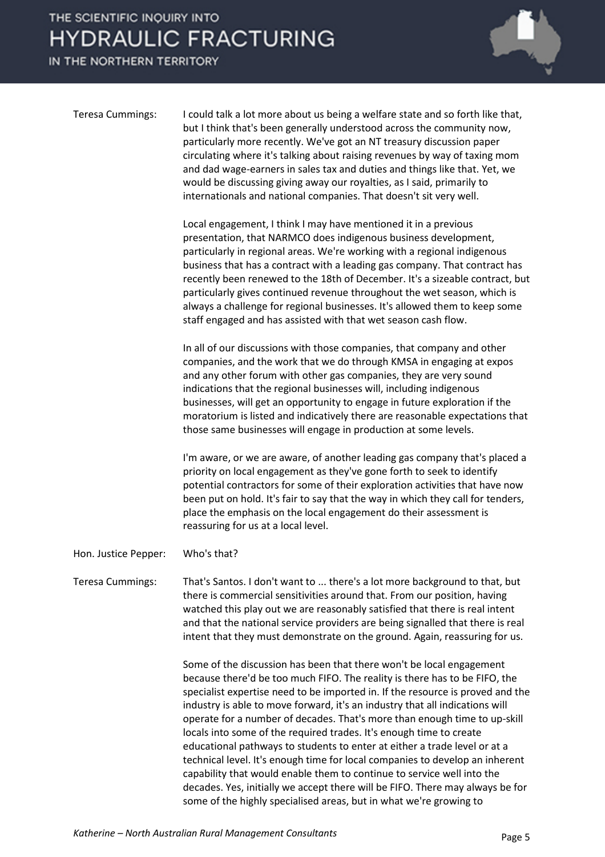IN THE NORTHERN TERRITORY



| <b>Teresa Cummings:</b> | I could talk a lot more about us being a welfare state and so forth like that,<br>but I think that's been generally understood across the community now,<br>particularly more recently. We've got an NT treasury discussion paper                                                                        |
|-------------------------|----------------------------------------------------------------------------------------------------------------------------------------------------------------------------------------------------------------------------------------------------------------------------------------------------------|
|                         | circulating where it's talking about raising revenues by way of taxing mom<br>and dad wage-earners in sales tax and duties and things like that. Yet, we<br>would be discussing giving away our royalties, as I said, primarily to<br>internationals and national companies. That doesn't sit very well. |

Local engagement, I think I may have mentioned it in a previous presentation, that NARMCO does indigenous business development, particularly in regional areas. We're working with a regional indigenous business that has a contract with a leading gas company. That contract has recently been renewed to the 18th of December. It's a sizeable contract, but particularly gives continued revenue throughout the wet season, which is always a challenge for regional businesses. It's allowed them to keep some staff engaged and has assisted with that wet season cash flow.

In all of our discussions with those companies, that company and other companies, and the work that we do through KMSA in engaging at expos and any other forum with other gas companies, they are very sound indications that the regional businesses will, including indigenous businesses, will get an opportunity to engage in future exploration if the moratorium is listed and indicatively there are reasonable expectations that those same businesses will engage in production at some levels.

I'm aware, or we are aware, of another leading gas company that's placed a priority on local engagement as they've gone forth to seek to identify potential contractors for some of their exploration activities that have now been put on hold. It's fair to say that the way in which they call for tenders, place the emphasis on the local engagement do their assessment is reassuring for us at a local level.

Hon. Justice Pepper: Who's that?

Teresa Cummings: That's Santos. I don't want to ... there's a lot more background to that, but there is commercial sensitivities around that. From our position, having watched this play out we are reasonably satisfied that there is real intent and that the national service providers are being signalled that there is real intent that they must demonstrate on the ground. Again, reassuring for us.

> Some of the discussion has been that there won't be local engagement because there'd be too much FIFO. The reality is there has to be FIFO, the specialist expertise need to be imported in. If the resource is proved and the industry is able to move forward, it's an industry that all indications will operate for a number of decades. That's more than enough time to up-skill locals into some of the required trades. It's enough time to create educational pathways to students to enter at either a trade level or at a technical level. It's enough time for local companies to develop an inherent capability that would enable them to continue to service well into the decades. Yes, initially we accept there will be FIFO. There may always be for some of the highly specialised areas, but in what we're growing to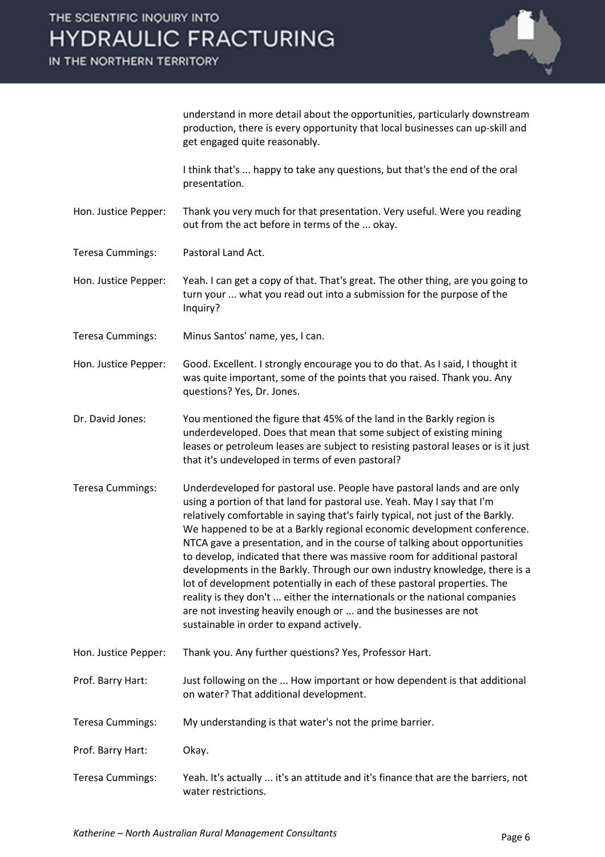IN THE NORTHERN TERRITORY



understand in more detail about the opportunities, particularly downstream production, there is every opportunity that local businesses can up-skill and get engaged quite reasonably.

I think that's ... happy to take any questions, but that's the end of the oral presentation.

Hon. Justice Pepper: Thank you very much for that presentation. Very useful. Were you reading out from the act before in terms of the ... okay.

Teresa Cummings: Pastoral Land Act.

Hon. Justice Pepper: Yeah. I can get a copy of that. That's great. The other thing, are you going to turn your ... what you read out into a submission for the purpose of the Inquiry?

Teresa Cummings: Minus Santos' name, yes, I can.

Hon. Justice Pepper: Good. Excellent. I strongly encourage you to do that. As I said, I thought it was quite important, some of the points that you raised. Thank you. Any questions? Yes, Dr. Jones.

Dr. David Jones: You mentioned the figure that 45% of the land in the Barkly region is underdeveloped. Does that mean that some subject of existing mining leases or petroleum leases are subject to resisting pastoral leases or is it just that it's undeveloped in terms of even pastoral?

- Teresa Cummings: Underdeveloped for pastoral use. People have pastoral lands and are only using a portion of that land for pastoral use. Yeah. May I say that I'm relatively comfortable in saying that's fairly typical, not just of the Barkly. We happened to be at a Barkly regional economic development conference. NTCA gave a presentation, and in the course of talking about opportunities to develop, indicated that there was massive room for additional pastoral developments in the Barkly. Through our own industry knowledge, there is a lot of development potentially in each of these pastoral properties. The reality is they don't ... either the internationals or the national companies are not investing heavily enough or ... and the businesses are not sustainable in order to expand actively.
- Hon. Justice Pepper: Thank you. Any further questions? Yes, Professor Hart.
- Prof. Barry Hart: Just following on the ... How important or how dependent is that additional on water? That additional development.
- Teresa Cummings: My understanding is that water's not the prime barrier.

Prof. Barry Hart: Okay.

Teresa Cummings: Yeah. It's actually ... it's an attitude and it's finance that are the barriers, not water restrictions.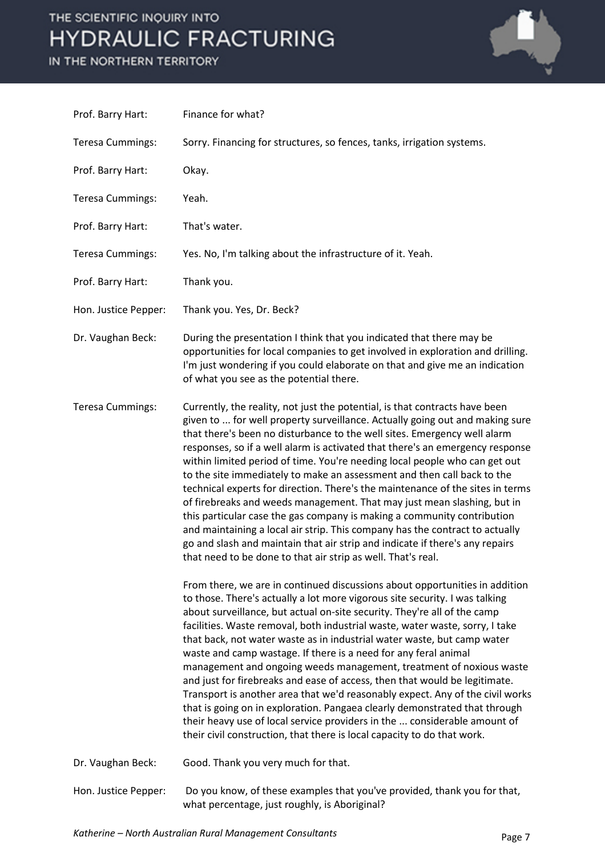#### IN THE NORTHERN TERRITORY



| Prof. Barry Hart:       | Finance for what?                                                                                                                                                                                                                                                                                                                                                                                                                                                                                                                                                                                                                                                                                                                                                                                                                                                                                                                                         |
|-------------------------|-----------------------------------------------------------------------------------------------------------------------------------------------------------------------------------------------------------------------------------------------------------------------------------------------------------------------------------------------------------------------------------------------------------------------------------------------------------------------------------------------------------------------------------------------------------------------------------------------------------------------------------------------------------------------------------------------------------------------------------------------------------------------------------------------------------------------------------------------------------------------------------------------------------------------------------------------------------|
| <b>Teresa Cummings:</b> | Sorry. Financing for structures, so fences, tanks, irrigation systems.                                                                                                                                                                                                                                                                                                                                                                                                                                                                                                                                                                                                                                                                                                                                                                                                                                                                                    |
| Prof. Barry Hart:       | Okay.                                                                                                                                                                                                                                                                                                                                                                                                                                                                                                                                                                                                                                                                                                                                                                                                                                                                                                                                                     |
| <b>Teresa Cummings:</b> | Yeah.                                                                                                                                                                                                                                                                                                                                                                                                                                                                                                                                                                                                                                                                                                                                                                                                                                                                                                                                                     |
| Prof. Barry Hart:       | That's water.                                                                                                                                                                                                                                                                                                                                                                                                                                                                                                                                                                                                                                                                                                                                                                                                                                                                                                                                             |
| <b>Teresa Cummings:</b> | Yes. No, I'm talking about the infrastructure of it. Yeah.                                                                                                                                                                                                                                                                                                                                                                                                                                                                                                                                                                                                                                                                                                                                                                                                                                                                                                |
| Prof. Barry Hart:       | Thank you.                                                                                                                                                                                                                                                                                                                                                                                                                                                                                                                                                                                                                                                                                                                                                                                                                                                                                                                                                |
| Hon. Justice Pepper:    | Thank you. Yes, Dr. Beck?                                                                                                                                                                                                                                                                                                                                                                                                                                                                                                                                                                                                                                                                                                                                                                                                                                                                                                                                 |
| Dr. Vaughan Beck:       | During the presentation I think that you indicated that there may be<br>opportunities for local companies to get involved in exploration and drilling.<br>I'm just wondering if you could elaborate on that and give me an indication<br>of what you see as the potential there.                                                                                                                                                                                                                                                                                                                                                                                                                                                                                                                                                                                                                                                                          |
| <b>Teresa Cummings:</b> | Currently, the reality, not just the potential, is that contracts have been<br>given to  for well property surveillance. Actually going out and making sure<br>that there's been no disturbance to the well sites. Emergency well alarm<br>responses, so if a well alarm is activated that there's an emergency response<br>within limited period of time. You're needing local people who can get out<br>to the site immediately to make an assessment and then call back to the<br>technical experts for direction. There's the maintenance of the sites in terms<br>of firebreaks and weeds management. That may just mean slashing, but in<br>this particular case the gas company is making a community contribution<br>and maintaining a local air strip. This company has the contract to actually<br>go and slash and maintain that air strip and indicate if there's any repairs<br>that need to be done to that air strip as well. That's real. |
|                         | From there, we are in continued discussions about opportunities in addition<br>to those. There's actually a lot more vigorous site security. I was talking<br>about surveillance, but actual on-site security. They're all of the camp<br>facilities. Waste removal, both industrial waste, water waste, sorry, I take<br>that back, not water waste as in industrial water waste, but camp water<br>waste and camp wastage. If there is a need for any feral animal<br>management and ongoing weeds management, treatment of noxious waste<br>and just for firebreaks and ease of access, then that would be legitimate.<br>Transport is another area that we'd reasonably expect. Any of the civil works<br>that is going on in exploration. Pangaea clearly demonstrated that through<br>their heavy use of local service providers in the  considerable amount of<br>their civil construction, that there is local capacity to do that work.          |
| Dr. Vaughan Beck:       | Good. Thank you very much for that.                                                                                                                                                                                                                                                                                                                                                                                                                                                                                                                                                                                                                                                                                                                                                                                                                                                                                                                       |
| Hon. Justice Pepper:    | Do you know, of these examples that you've provided, thank you for that,<br>what percentage, just roughly, is Aboriginal?                                                                                                                                                                                                                                                                                                                                                                                                                                                                                                                                                                                                                                                                                                                                                                                                                                 |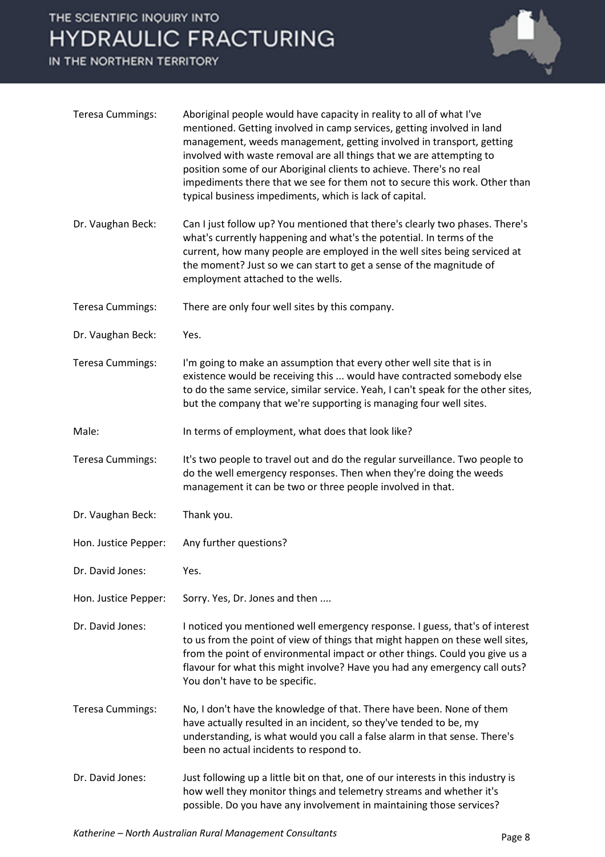IN THE NORTHERN TERRITORY



| <b>Teresa Cummings:</b> | Aboriginal people would have capacity in reality to all of what I've<br>mentioned. Getting involved in camp services, getting involved in land<br>management, weeds management, getting involved in transport, getting<br>involved with waste removal are all things that we are attempting to<br>position some of our Aboriginal clients to achieve. There's no real<br>impediments there that we see for them not to secure this work. Other than<br>typical business impediments, which is lack of capital. |
|-------------------------|----------------------------------------------------------------------------------------------------------------------------------------------------------------------------------------------------------------------------------------------------------------------------------------------------------------------------------------------------------------------------------------------------------------------------------------------------------------------------------------------------------------|
| Dr. Vaughan Beck:       | Can I just follow up? You mentioned that there's clearly two phases. There's<br>what's currently happening and what's the potential. In terms of the<br>current, how many people are employed in the well sites being serviced at<br>the moment? Just so we can start to get a sense of the magnitude of<br>employment attached to the wells.                                                                                                                                                                  |
| <b>Teresa Cummings:</b> | There are only four well sites by this company.                                                                                                                                                                                                                                                                                                                                                                                                                                                                |
| Dr. Vaughan Beck:       | Yes.                                                                                                                                                                                                                                                                                                                                                                                                                                                                                                           |
| <b>Teresa Cummings:</b> | I'm going to make an assumption that every other well site that is in<br>existence would be receiving this  would have contracted somebody else<br>to do the same service, similar service. Yeah, I can't speak for the other sites,<br>but the company that we're supporting is managing four well sites.                                                                                                                                                                                                     |
| Male:                   | In terms of employment, what does that look like?                                                                                                                                                                                                                                                                                                                                                                                                                                                              |
| <b>Teresa Cummings:</b> | It's two people to travel out and do the regular surveillance. Two people to<br>do the well emergency responses. Then when they're doing the weeds<br>management it can be two or three people involved in that.                                                                                                                                                                                                                                                                                               |
| Dr. Vaughan Beck:       | Thank you.                                                                                                                                                                                                                                                                                                                                                                                                                                                                                                     |
| Hon. Justice Pepper:    | Any further questions?                                                                                                                                                                                                                                                                                                                                                                                                                                                                                         |
| Dr. David Jones:        | Yes.                                                                                                                                                                                                                                                                                                                                                                                                                                                                                                           |
| Hon. Justice Pepper:    | Sorry. Yes, Dr. Jones and then                                                                                                                                                                                                                                                                                                                                                                                                                                                                                 |
| Dr. David Jones:        | I noticed you mentioned well emergency response. I guess, that's of interest<br>to us from the point of view of things that might happen on these well sites,<br>from the point of environmental impact or other things. Could you give us a<br>flavour for what this might involve? Have you had any emergency call outs?<br>You don't have to be specific.                                                                                                                                                   |
| <b>Teresa Cummings:</b> | No, I don't have the knowledge of that. There have been. None of them<br>have actually resulted in an incident, so they've tended to be, my<br>understanding, is what would you call a false alarm in that sense. There's<br>been no actual incidents to respond to.                                                                                                                                                                                                                                           |
| Dr. David Jones:        | Just following up a little bit on that, one of our interests in this industry is<br>how well they monitor things and telemetry streams and whether it's<br>possible. Do you have any involvement in maintaining those services?                                                                                                                                                                                                                                                                                |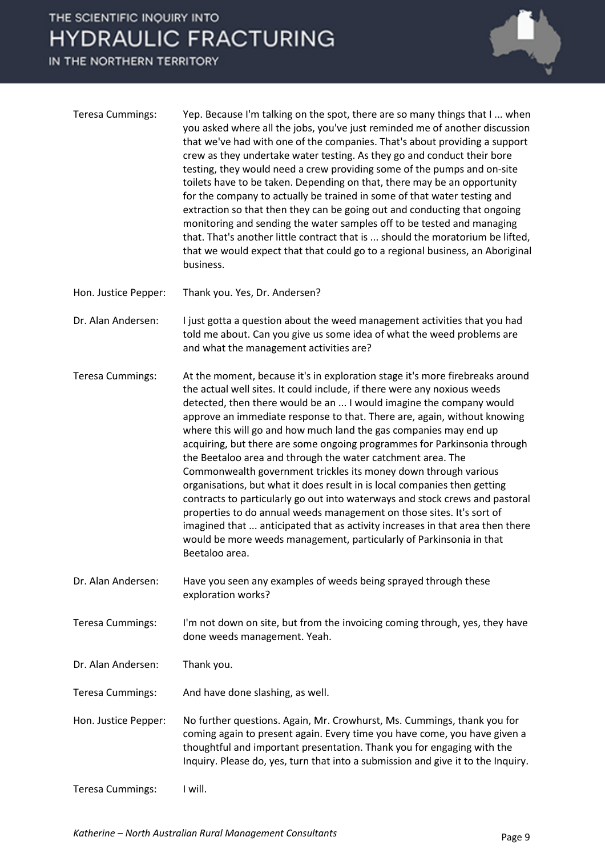IN THE NORTHERN TERRITORY